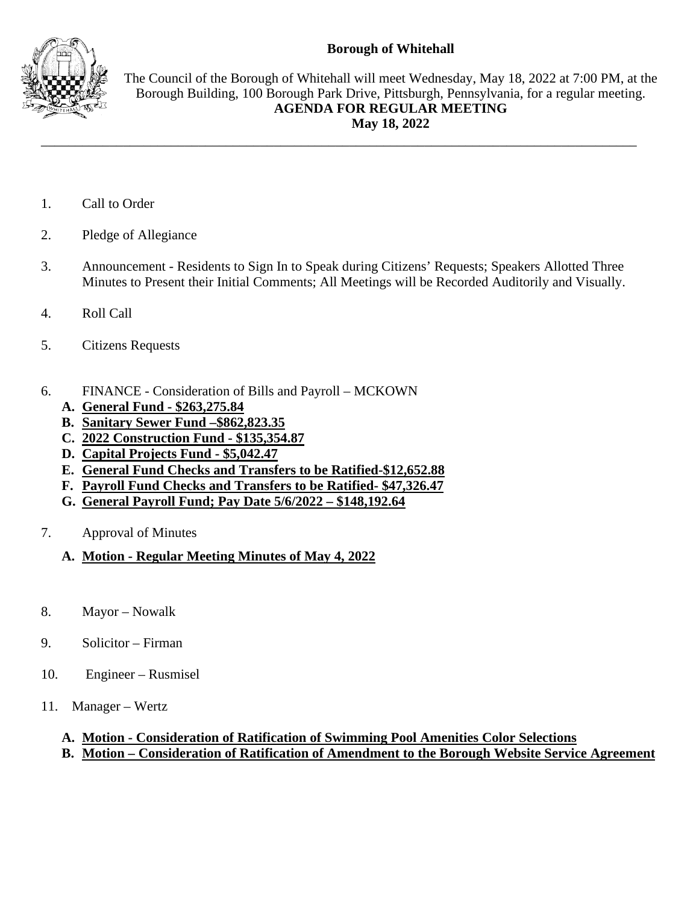## **Borough of Whitehall**



The Council of the Borough of Whitehall will meet Wednesday, May 18, 2022 at 7:00 PM, at the Borough Building, 100 Borough Park Drive, Pittsburgh, Pennsylvania, for a regular meeting. **AGENDA FOR REGULAR MEETING May 18, 2022**

- 1. Call to Order
- 2. Pledge of Allegiance
- 3. Announcement Residents to Sign In to Speak during Citizens' Requests; Speakers Allotted Three Minutes to Present their Initial Comments; All Meetings will be Recorded Auditorily and Visually.

\_\_\_\_\_\_\_\_\_\_\_\_\_\_\_\_\_\_\_\_\_\_\_\_\_\_\_\_\_\_\_\_\_\_\_\_\_\_\_\_\_\_\_\_\_\_\_\_\_\_\_\_\_\_\_\_\_\_\_\_\_\_\_\_\_\_\_\_\_\_\_\_\_\_\_\_\_\_\_\_\_\_\_\_\_\_\_

- 4. Roll Call
- 5. Citizens Requests
- 6. FINANCE Consideration of Bills and Payroll MCKOWN
	- **A. General Fund - \$263,275.84**
	- **B. Sanitary Sewer Fund –\$862,823.35**
	- **C. 2022 Construction Fund - \$135,354.87**
	- **D. Capital Projects Fund - \$5,042.47**
	- **E. General Fund Checks and Transfers to be Ratified-\$12,652.88**
	- **F. Payroll Fund Checks and Transfers to be Ratified- \$47,326.47**
	- **G. General Payroll Fund; Pay Date 5/6/2022 – \$148,192.64**
- 7. Approval of Minutes
	- **A. Motion - Regular Meeting Minutes of May 4, 2022**
- 8. Mayor Nowalk
- 9. Solicitor Firman
- 10. Engineer Rusmisel
- 11. Manager Wertz

## **A. Motion - Consideration of Ratification of Swimming Pool Amenities Color Selections**

## **B. Motion – Consideration of Ratification of Amendment to the Borough Website Service Agreement**